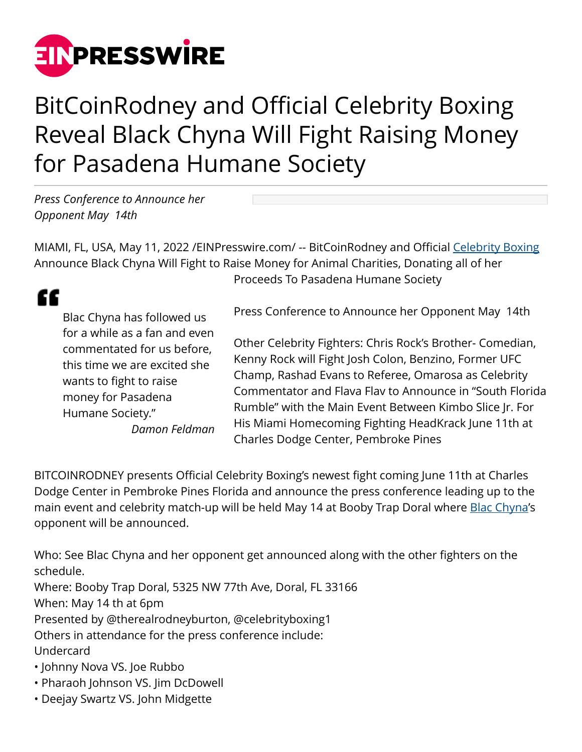

## BitCoinRodney and Official Celebrity Boxing Reveal Black Chyna Will Fight Raising Money for Pasadena Humane Society

*Press Conference to Announce her Opponent May 14th*

MIAMI, FL, USA, May 11, 2022 / [EINPresswire.com/](http://www.einpresswire.com) -- BitCoinRodney and Official [Celebrity Boxing](http://www.officialcelebrityboxing.com) Announce Black Chyna Will Fight to Raise Money for Animal Charities, Donating all of her Proceeds To Pasadena Humane Society

## ££

Blac Chyna has followed us for a while as a fan and even commentated for us before, this time we are excited she wants to fight to raise money for Pasadena Humane Society." *Damon Feldman* Press Conference to Announce her Opponent May 14th

Other Celebrity Fighters: Chris Rock's Brother- Comedian, Kenny Rock will Fight Josh Colon, Benzino, Former UFC Champ, Rashad Evans to Referee, Omarosa as Celebrity Commentator and Flava Flav to Announce in "South Florida Rumble" with the Main Event Between Kimbo Slice Jr. For His Miami Homecoming Fighting HeadKrack June 11th at Charles Dodge Center, Pembroke Pines

BITCOINRODNEY presents Official Celebrity Boxing's newest fight coming June 11th at Charles Dodge Center in Pembroke Pines Florida and announce the press conference leading up to the main event and celebrity match-up will be held May 14 at Booby Trap Doral where **[Blac Chyna](http://houseofblacchyna.com)'s** opponent will be announced.

Who: See Blac Chyna and her opponent get announced along with the other fighters on the schedule. Where: Booby Trap Doral, 5325 NW 77th Ave, Doral, FL 33166 When: May 14 th at 6pm Presented by @therealrodneyburton, @celebrityboxing1 Others in attendance for the press conference include: Undercard • Johnny Nova VS. Joe Rubbo

- Pharaoh Johnson VS. Jim DcDowell
- Deejay Swartz VS. John Midgette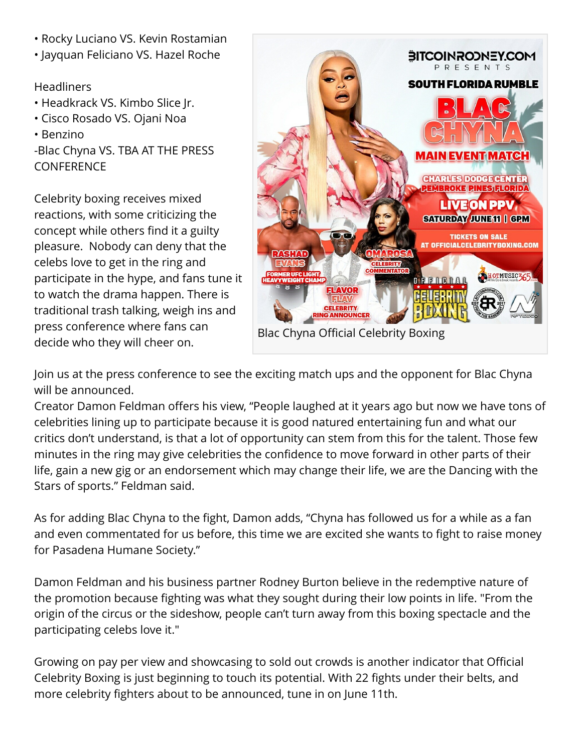- Rocky Luciano VS. Kevin Rostamian
- Jayquan Feliciano VS. Hazel Roche

## **Headliners**

- Headkrack VS. Kimbo Slice Jr.
- Cisco Rosado VS. Ojani Noa
- Benzino

-Blac Chyna VS. TBA AT THE PRESS **CONFERENCE** 

Celebrity boxing receives mixed reactions, with some criticizing the concept while others find it a guilty pleasure. Nobody can deny that the celebs love to get in the ring and participate in the hype, and fans tune it to watch the drama happen. There is traditional trash talking, weigh ins and press conference where fans can decide who they will cheer on.



Join us at the press conference to see the exciting match ups and the opponent for Blac Chyna will be announced.

Creator Damon Feldman offers his view, "People laughed at it years ago but now we have tons of celebrities lining up to participate because it is good natured entertaining fun and what our critics don't understand, is that a lot of opportunity can stem from this for the talent. Those few minutes in the ring may give celebrities the confidence to move forward in other parts of their life, gain a new gig or an endorsement which may change their life, we are the Dancing with the Stars of sports." Feldman said.

As for adding Blac Chyna to the fight, Damon adds, "Chyna has followed us for a while as a fan and even commentated for us before, this time we are excited she wants to fight to raise money for Pasadena Humane Society."

Damon Feldman and his business partner Rodney Burton believe in the redemptive nature of the promotion because fighting was what they sought during their low points in life. "From the origin of the circus or the sideshow, people can't turn away from this boxing spectacle and the participating celebs love it."

Growing on pay per view and showcasing to sold out crowds is another indicator that Official Celebrity Boxing is just beginning to touch its potential. With 22 fights under their belts, and more celebrity fighters about to be announced, tune in on June 11th.